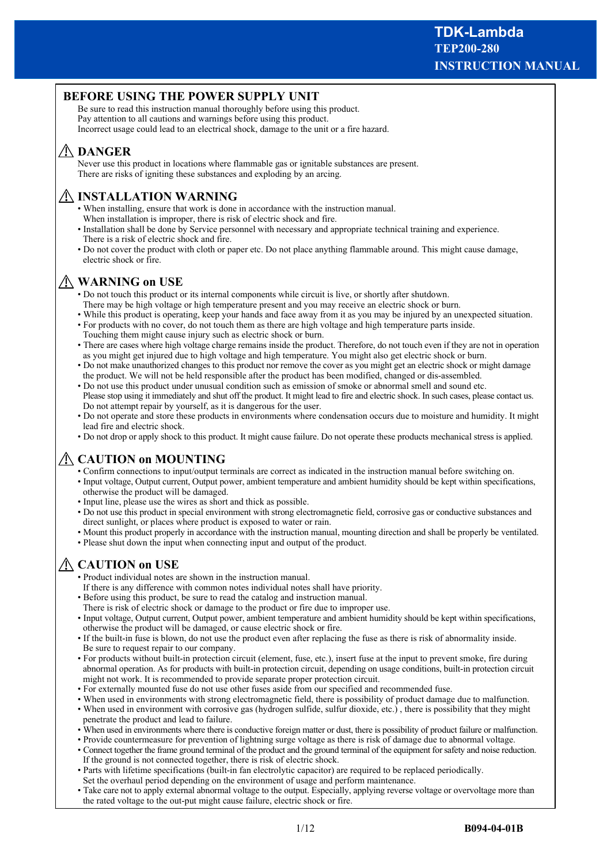**INSTRUCTION MANUAL TEP200280 TDKLambda**

## **BEFORE USING THE POWER SUPPLY UNIT**

Be sure to read this instruction manual thoroughly before using this product. Pay attention to all cautions and warnings before using this product. Incorrect usage could lead to an electrical shock, damage to the unit or a fire hazard.

# **DANGER**

Never use this product in locations where flammable gas or ignitable substances are present. There are risks of igniting these substances and exploding by an arcing.

## **INSTALLATION WARNING**

- When installing, ensure that work is done in accordance with the instruction manual.
- When installation is improper, there is risk of electric shock and fire.
- Installation shall be done by Service personnel with necessary and appropriate technical training and experience. There is a risk of electric shock and fire.
- Do not cover the product with cloth or paper etc. Do not place anything flammable around. This might cause damage, electric shock or fire.

# **WARNING on USE**

- Do not touch this product or its internal components while circuit is live, or shortly after shutdown. There may be high voltage or high temperature present and you may receive an electric shock or burn.
- While this product is operating, keep your hands and face away from it as you may be injured by an unexpected situation.
- For products with no cover, do not touch them as there are high voltage and high temperature parts inside. Touching them might cause injury such as electric shock or burn.
- There are cases where high voltage charge remains inside the product. Therefore, do not touch even if they are not in operation as you might get injured due to high voltage and high temperature. You might also get electric shock or burn.
- Do not make unauthorized changes to this product nor remove the cover as you might get an electric shock or might damage the product. We will not be held responsible after the product has been modified, changed or dis-assembled.
- Do not use this product under unusual condition such as emission of smoke or abnormal smell and sound etc. Please stop using it immediately and shut off the product. It might lead to fire and electric shock. In such cases, please contact us. Do not attempt repair by yourself, as it is dangerous for the user.
- Do not operate and store these products in environments where condensation occurs due to moisture and humidity. It might lead fire and electric shock.
- Do not drop or apply shock to this product. It might cause failure. Do not operate these products mechanical stress is applied.

# **CAUTION on MOUNTING**

- Confirm connections to input/output terminals are correct as indicated in the instruction manual before switching on.
- Input voltage, Output current, Output power, ambient temperature and ambient humidity should be kept within specifications, otherwise the product will be damaged.
- Input line, please use the wires as short and thick as possible.
- Do not use this product in special environment with strong electromagnetic field, corrosive gas or conductive substances and direct sunlight, or places where product is exposed to water or rain.
- Mount this product properly in accordance with the instruction manual, mounting direction and shall be properly be ventilated. • Please shut down the input when connecting input and output of the product.

# **CAUTION on USE**

- Product individual notes are shown in the instruction manual.
- If there is any difference with common notes individual notes shall have priority.
- Before using this product, be sure to read the catalog and instruction manual.
- There is risk of electric shock or damage to the product or fire due to improper use.
- Input voltage, Output current, Output power, ambient temperature and ambient humidity should be kept within specifications, otherwise the product will be damaged, or cause electric shock or fire.
- If the built-in fuse is blown, do not use the product even after replacing the fuse as there is risk of abnormality inside. Be sure to request repair to our company.
- For products without built-in protection circuit (element, fuse, etc.), insert fuse at the input to prevent smoke, fire during abnormal operation. As for products with built-in protection circuit, depending on usage conditions, built-in protection circuit might not work. It is recommended to provide separate proper protection circuit.
- For externally mounted fuse do not use other fuses aside from our specified and recommended fuse.
- When used in environments with strong electromagnetic field, there is possibility of product damage due to malfunction. • When used in environment with corrosive gas (hydrogen sulfide, sulfur dioxide, etc.) , there is possibility that they might penetrate the product and lead to failure.
- When used in environments where there is conductive foreign matter or dust, there is possibility of product failure or malfunction.
- Provide countermeasure for prevention of lightning surge voltage as there is risk of damage due to abnormal voltage.
- Connect together the frame ground terminal of the product and the ground terminal of the equipment for safety and noise reduction. If the ground is not connected together, there is risk of electric shock.
- Parts with lifetime specifications (built-in fan electrolytic capacitor) are required to be replaced periodically. Set the overhaul period depending on the environment of usage and perform maintenance.
- Take care not to apply external abnormal voltage to the output. Especially, applying reverse voltage or overvoltage more than the rated voltage to the out-put might cause failure, electric shock or fire.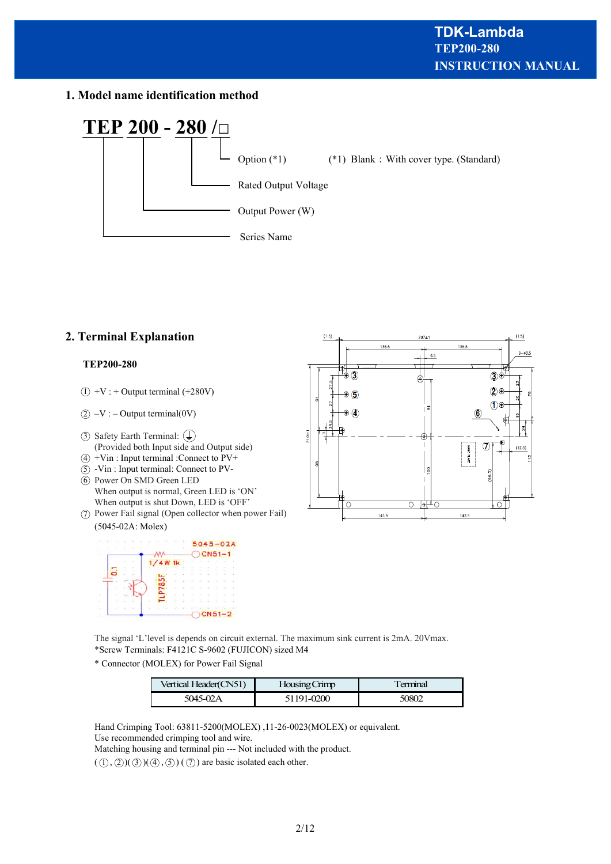**1. Model name identification method**



## **2. Terminal Explanation**

#### **TEP200-280**

- $\hat{U}$  +V : + Output terminal (+280V)
- $2) -V$  : Output terminal(0V)
- 3) Safety Earth Terminal: (Provided both Input side and Output side)
- $\overline{4}$  +Vin : Input terminal :Connect to PV+
- Vin : Input terminal: Connect to PV-5
- Power On SMD Green LED 6 When output is normal, Green LED is 'ON' When output is shut Down, LED is 'OFF'
- 7) Power Fail signal (Open collector when power Fail) (5045-02A: Molex)

|        |                |        |    |           |    |     |               |    |    |      | $CR51 - 1$                 |                                 |
|--------|----------------|--------|----|-----------|----|-----|---------------|----|----|------|----------------------------|---------------------------------|
| ٠      | ×              | ×.     |    | $1/4W$ 1k |    |     | $\mathcal{L}$ |    |    | - 14 | ×                          | $\left\vert \cdot\right\vert$   |
|        | ŧ              | ŧ      |    |           | ٠  | ţ.  | Đ             | ŧ  | X. | š.   | 88                         | 慰                               |
|        | ×              | ×.     |    |           |    | x   | ×             |    |    |      | 96                         | 12                              |
| ×      |                |        |    |           | 23 | 辺   | w             | w  | ä  | S.   | 72                         | 8                               |
| ٠      |                |        |    |           | ×9 | 97. | Æ.            | ¥, | 9  | ×    | 38                         | ΰŧ                              |
| ٠      |                |        |    |           | m. | ş.  |               |    |    |      |                            | $\langle \cdot   \cdot \rangle$ |
| $\sim$ | $\sim$         | ٠      | ú  |           | s  | ï.  |               |    |    |      | 13                         | a                               |
| ÷      | <b>Section</b> | $\sim$ | 84 | 0.2<br>÷  | v. | 433 | W.            | a. |    |      | The company of the company |                                 |



The signal 'L'level is depends on circuit external. The maximum sink current is 2mA. 20Vmax. \*Screw Terminals: F4121C S-9602 (FUJICON) sized M4

\* Connector (MOLEX) for Power Fail Signal

| Vertical Header(CN51) | Housing Crimp | Terminal |
|-----------------------|---------------|----------|
| 5045-02A              | 51191-0200    | 50802    |

Hand Crimping Tool: 63811-5200(MOLEX) ,11-26-0023(MOLEX) or equivalent. Use recommended crimping tool and wire.

Matching housing and terminal pin --- Not included with the product.

 $((1), (2))$  $((3))$  $((4), (5))$  $((7))$  are basic isolated each other.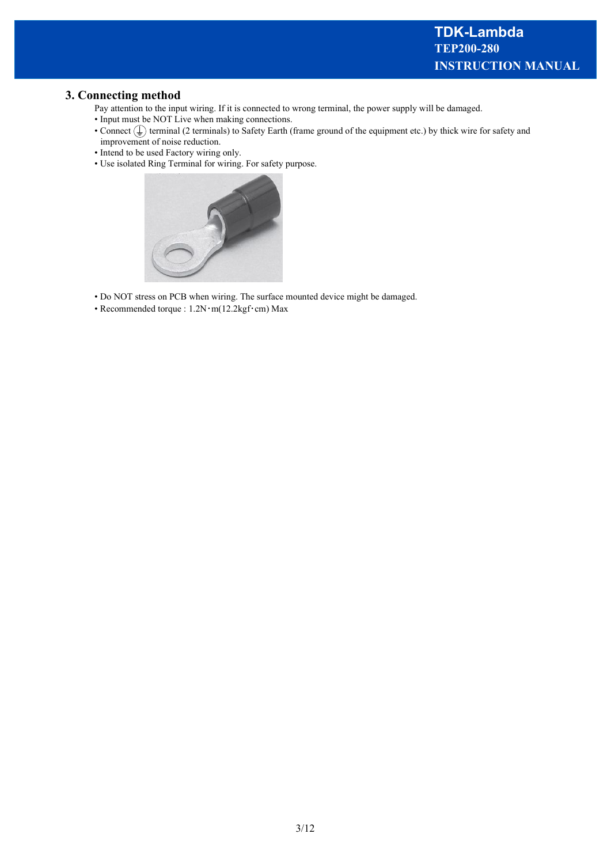## **3. Connecting method**

- Pay attention to the input wiring. If it is connected to wrong terminal, the power supply will be damaged. • Input must be NOT Live when making connections.
- Connect  $(\overline{\underline{\div}})$  terminal (2 terminals) to Safety Earth (frame ground of the equipment etc.) by thick wire for safety and improvement of noise reduction.
- Intend to be used Factory wiring only.
- Use isolated Ring Terminal for wiring. For safety purpose.



- Do NOT stress on PCB when wiring. The surface mounted device might be damaged.
- Recommended torque : 1.2N・m(12.2kgf・cm) Max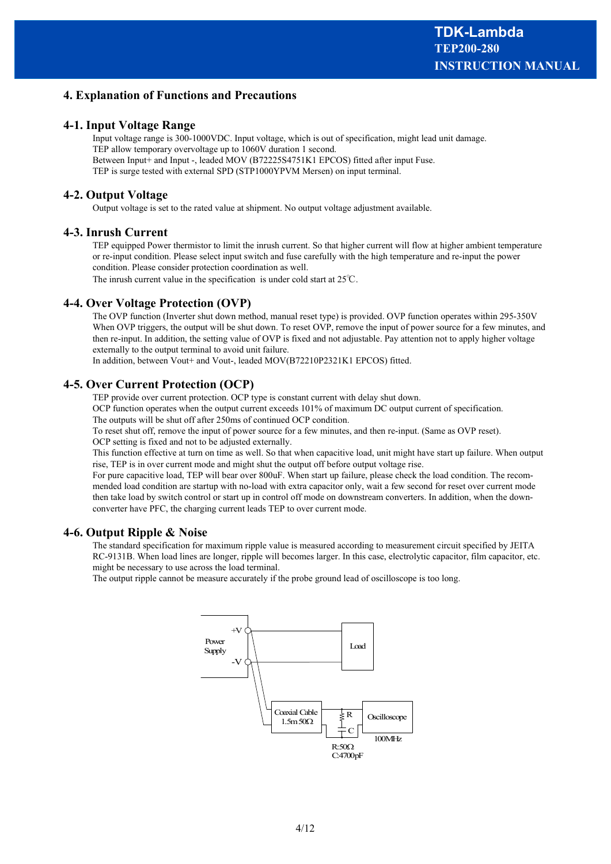## **4. Explanation of Functions and Precautions**

#### **41. Input Voltage Range**

Input voltage range is 300-1000VDC. Input voltage, which is out of specification, might lead unit damage. TEP allow temporary overvoltage up to 1060V duration 1 second. Between Input+ and Input -, leaded MOV (B72225S4751K1 EPCOS) fitted after input Fuse. TEP is surge tested with external SPD (STP1000YPVM Mersen) on input terminal.

#### **42. Output Voltage**

Output voltage is set to the rated value at shipment. No output voltage adjustment available.

#### **43. Inrush Current**

TEP equipped Power thermistor to limit the inrush current. So that higher current will flow at higher ambient temperature or re-input condition. Please select input switch and fuse carefully with the high temperature and re-input the power condition. Please consider protection coordination as well.

The inrush current value in the specification is under cold start at 25℃.

#### **44. Over Voltage Protection (OVP)**

The OVP function (Inverter shut down method, manual reset type) is provided. OVP function operates within 295-350V When OVP triggers, the output will be shut down. To reset OVP, remove the input of power source for a few minutes, and then re-input. In addition, the setting value of OVP is fixed and not adjustable. Pay attention not to apply higher voltage externally to the output terminal to avoid unit failure.

In addition, between Vout+ and Vout-, leaded MOV(B72210P2321K1 EPCOS) fitted.

#### **45. Over Current Protection (OCP)**

TEP provide over current protection. OCP type is constant current with delay shut down.

OCP function operates when the output current exceeds 101% of maximum DC output current of specification.

The outputs will be shut off after 250ms of continued OCP condition.

To reset shut off, remove the input of power source for a few minutes, and then reinput. (Same as OVP reset). OCP setting is fixed and not to be adjusted externally.

This function effective at turn on time as well. So that when capacitive load, unit might have start up failure. When output rise, TEP is in over current mode and might shut the output off before output voltage rise.

For pure capacitive load, TEP will bear over 800uF. When start up failure, please check the load condition. The recommended load condition are startup with no-load with extra capacitor only, wait a few second for reset over current mode then take load by switch control or start up in control off mode on downstream converters. In addition, when the downconverter have PFC, the charging current leads TEP to over current mode.

#### **46. Output Ripple & Noise**

The standard specification for maximum ripple value is measured according to measurement circuit specified by JEITA RC9131B. When load lines are longer, ripple will becomes larger. In this case, electrolytic capacitor, film capacitor, etc. might be necessary to use across the load terminal.

The output ripple cannot be measure accurately if the probe ground lead of oscilloscope is too long.

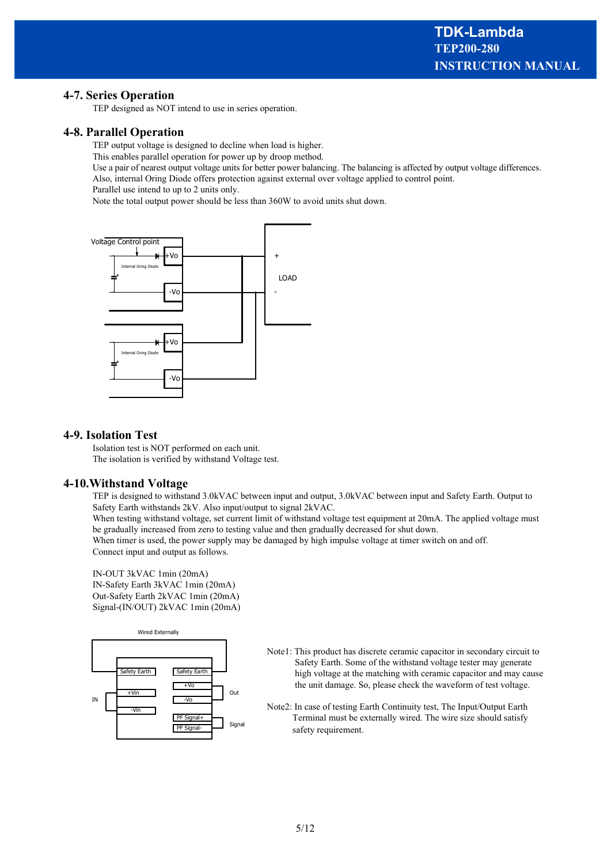### **47. Series Operation**

TEP designed as NOT intend to use in series operation.

## **48. Parallel Operation**

TEP output voltage is designed to decline when load is higher.

This enables parallel operation for power up by droop method.

Use a pair of nearest output voltage units for better power balancing. The balancing is affected by output voltage differences. Also, internal Oring Diode offers protection against external over voltage applied to control point.

Parallel use intend to up to 2 units only.

Note the total output power should be less than 360W to avoid units shut down.



### **49. Isolation Test**

Isolation test is NOT performed on each unit. The isolation is verified by withstand Voltage test.

#### **410.Withstand Voltage**

TEP is designed to withstand 3.0kVAC between input and output, 3.0kVAC between input and Safety Earth. Output to Safety Earth withstands 2kV. Also input/output to signal 2kVAC.

When testing withstand voltage, set current limit of withstand voltage test equipment at 20mA. The applied voltage must be gradually increased from zero to testing value and then gradually decreased for shut down. When timer is used, the power supply may be damaged by high impulse voltage at timer switch on and off. Connect input and output as follows.

IN-OUT 3kVAC 1min (20mA) IN-Safety Earth 3kVAC 1min (20mA) Out-Safety Earth 2kVAC 1min (20mA) Signal-(IN/OUT) 2kVAC 1min (20mA)



- Note1: This product has discrete ceramic capacitor in secondary circuit to Safety Earth. Some of the withstand voltage tester may generate high voltage at the matching with ceramic capacitor and may cause the unit damage. So, please check the waveform of test voltage.
- Note2: In case of testing Earth Continuity test, The Input/Output Earth Terminal must be externally wired. The wire size should satisfy safety requirement.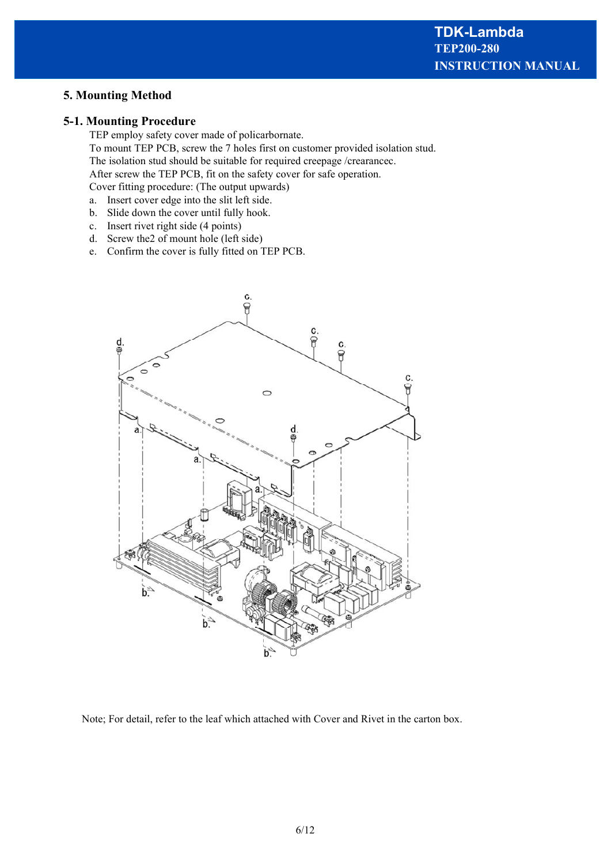## **5. Mounting Method**

## **51. Mounting Procedure**

TEP employ safety cover made of policarbornate. To mount TEP PCB, screw the 7 holes first on customer provided isolation stud. The isolation stud should be suitable for required creepage /crearancec. After screw the TEP PCB, fit on the safety cover for safe operation.

Cover fitting procedure: (The output upwards)

- a. Insert cover edge into the slit left side.
- b. Slide down the cover until fully hook.
- c. Insert rivet right side (4 points)
- d. Screw the2 of mount hole (left side)
- e. Confirm the cover is fully fitted on TEP PCB.



Note; For detail, refer to the leaf which attached with Cover and Rivet in the carton box.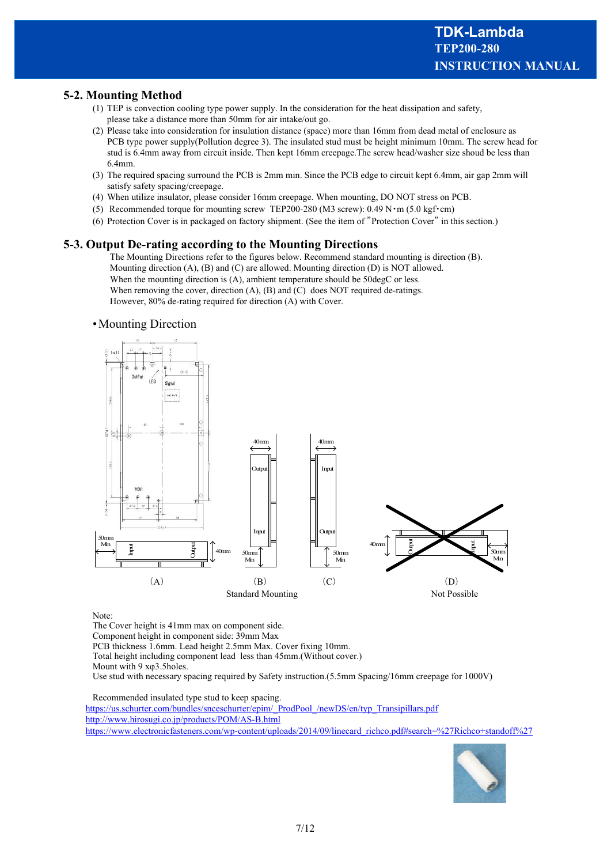## **52. Mounting Method**

- (1) TEP is convection cooling type power supply. In the consideration for the heat dissipation and safety, please take a distance more than 50mm for air intake/out go.
- (2) Please take into consideration for insulation distance (space) more than 16mm from dead metal of enclosure as PCB type power supply(Pollution degree 3). The insulated stud must be height minimum 10mm. The screw head for stud is 6.4mm away from circuit inside. Then kept 16mm creepage.The screw head/washer size shoud be less than 6.4mm.
- (3) The required spacing surround the PCB is 2mm min. Since the PCB edge to circuit kept 6.4mm, air gap 2mm will satisfy safety spacing/creepage.
- (4) When utilize insulator, please consider 16mm creepage. When mounting, DO NOT stress on PCB.
- (5) Recommended torque for mounting screw TEP200-280 (M3 screw):  $0.49 \text{ N} \cdot \text{m}$  (5.0 kgf $\cdot$ cm)
- (6) Protection Cover is in packaged on factory shipment. (See the item of "Protection Cover" in this section.)

#### **53. Output Derating according to the Mounting Directions**

The Mounting Directions refer to the figures below. Recommend standard mounting is direction (B). Mounting direction (A), (B) and (C) are allowed. Mounting direction (D) is NOT allowed. When the mounting direction is (A), ambient temperature should be 50degC or less. When removing the cover, direction  $(A)$ ,  $(B)$  and  $(C)$  does NOT required de-ratings. However, 80% de-rating required for direction (A) with Cover.

#### •Mounting Direction



Note:

The Cover height is 41mm max on component side.

Component height in component side: 39mm Max

PCB thickness 1.6mm. Lead height 2.5mm Max. Cover fixing 10mm.

Total height including component lead less than 45mm.(Without cover.)

Mount with 9 xφ3.5holes.

Use stud with necessary spacing required by Safety instruction.(5.5mm Spacing/16mm creepage for 1000V)

Recommended insulated type stud to keep spacing.

https://us.schurter.com/bundles/snceschurter/epim/\_ProdPool\_/newDS/en/typ\_Transipillars.pdf http://www.hirosugi.co.jp/products/POM/AS-B.html



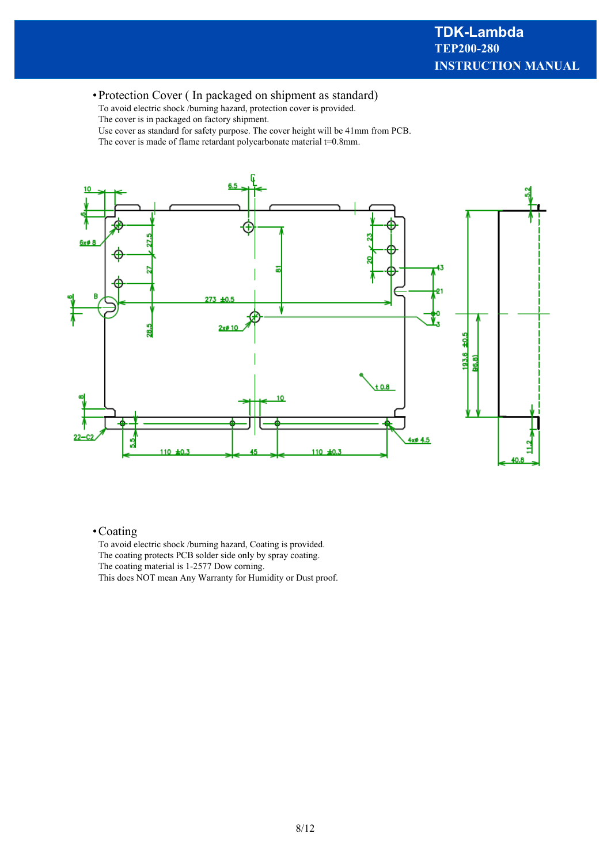•Protection Cover ( In packaged on shipment as standard)

To avoid electric shock /burning hazard, protection cover is provided.

The cover is in packaged on factory shipment.

Use cover as standard for safety purpose. The cover height will be 41mm from PCB.

The cover is made of flame retardant polycarbonate material t=0.8mm.



#### •Coating

To avoid electric shock /burning hazard, Coating is provided.

The coating protects PCB solder side only by spray coating.

The coating material is 1-2577 Dow corning.

This does NOT mean Any Warranty for Humidity or Dust proof.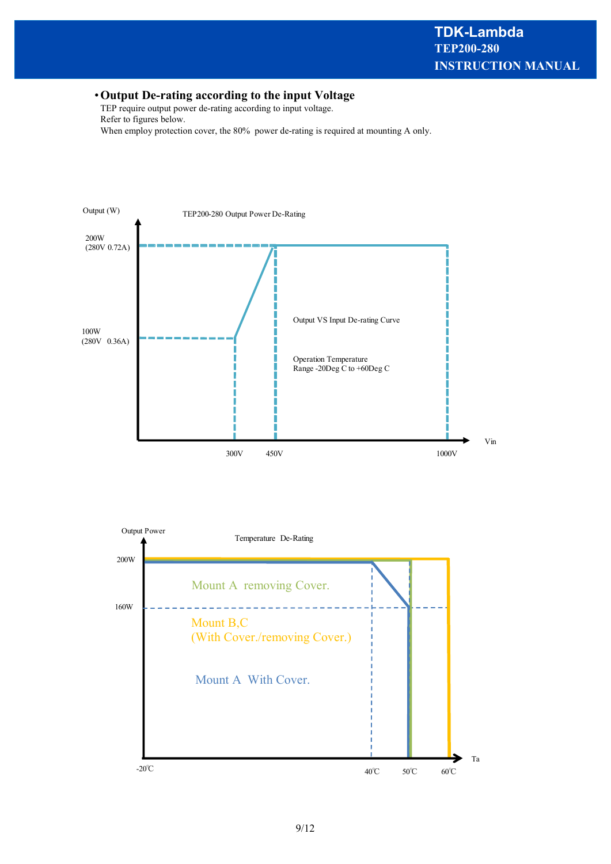## •**Output Derating according to the input Voltage**

TEP require output power de-rating according to input voltage. Refer to figures below.

When employ protection cover, the 80% power de-rating is required at mounting A only.



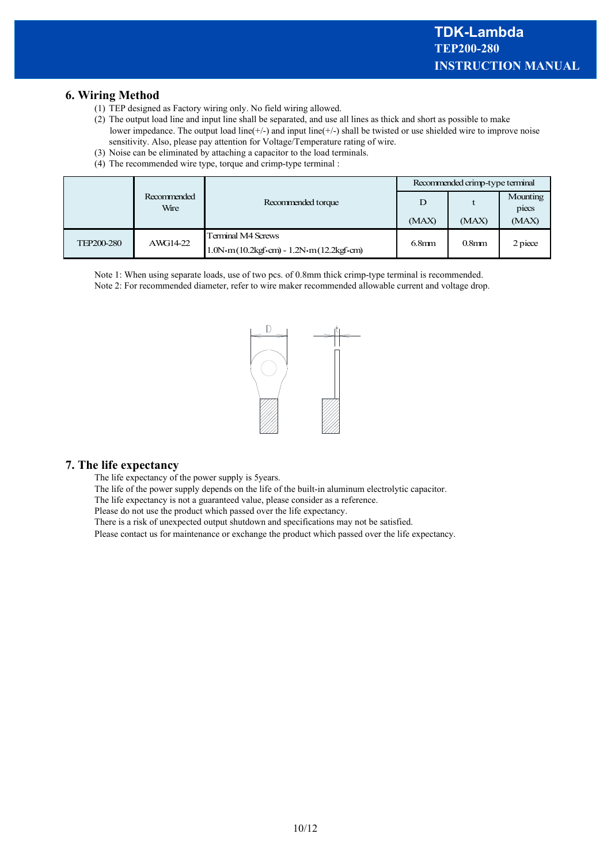## **6. Wiring Method**

- (1) TEP designed as Factory wiring only. No field wiring allowed.
- (2) The output load line and input line shall be separated, and use all lines as thick and short as possible to make lower impedance. The output load line(+/-) and input line(+/-) shall be twisted or use shielded wire to improve noise sensitivity. Also, please pay attention for Voltage/Temperature rating of wire.
- (3) Noise can be eliminated by attaching a capacitor to the load terminals.
- $(4)$  The recommended wire type, torque and crimp-type terminal :

|            |                     |                                                                                                | Recommended crimp-type terminal |                   |                   |  |
|------------|---------------------|------------------------------------------------------------------------------------------------|---------------------------------|-------------------|-------------------|--|
|            | Recommended<br>Wire | Recommended torque                                                                             | D                               |                   | Mounting<br>piecs |  |
|            |                     |                                                                                                | (MAX)                           | (MAX)             | (MAX)             |  |
| TEP200-280 | AWG14-22            | <b>Terminal M4 Screws</b><br>$1.0N \cdot m(10.2kcf \cdot cm) - 1.2N \cdot m(12.2kcf \cdot cm)$ | $6.8$ mm                        | 0.8 <sub>mm</sub> | $2$ piece         |  |

Note 1: When using separate loads, use of two pcs. of 0.8mm thick crimp-type terminal is recommended. Note 2: For recommended diameter, refer to wire maker recommended allowable current and voltage drop.



## **7. The life expectancy**

The life expectancy of the power supply is 5years.

The life of the power supply depends on the life of the built-in aluminum electrolytic capacitor.

The life expectancy is not a guaranteed value, please consider as a reference.

Please do not use the product which passed over the life expectancy.

There is a risk of unexpected output shutdown and specifications may not be satisfied.

Please contact us for maintenance or exchange the product which passed over the life expectancy.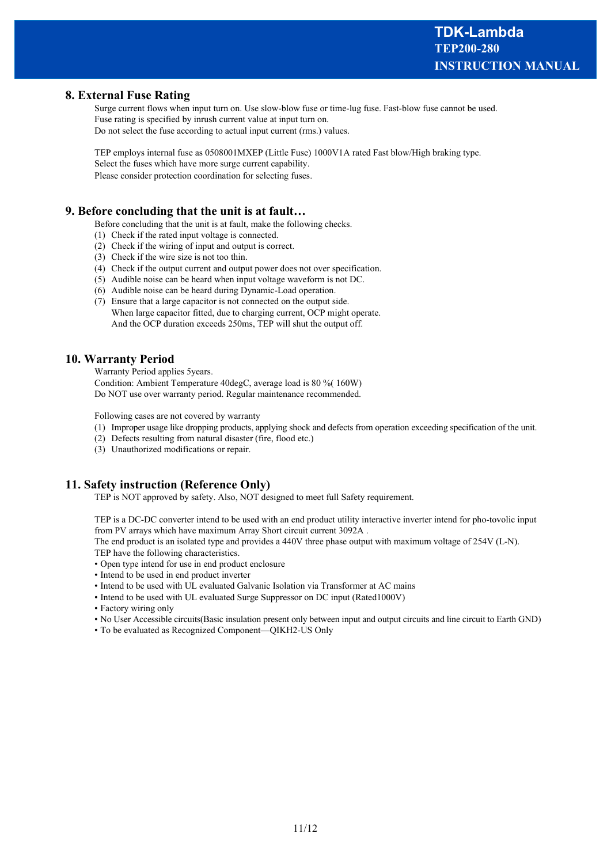#### **8. External Fuse Rating**

Surge current flows when input turn on. Use slow-blow fuse or time-lug fuse. Fast-blow fuse cannot be used. Fuse rating is specified by inrush current value at input turn on. Do not select the fuse according to actual input current (rms.) values.

TEP employs internal fuse as 0508001MXEP (Little Fuse) 1000V1A rated Fast blow/High braking type. Select the fuses which have more surge current capability. Please consider protection coordination for selecting fuses.

#### **9. Before concluding that the unit is at fault…**

Before concluding that the unit is at fault, make the following checks.

- (1) Check if the rated input voltage is connected.
- (2) Check if the wiring of input and output is correct.
- (3) Check if the wire size is not too thin.
- (4) Check if the output current and output power does not over specification.
- (5) Audible noise can be heard when input voltage waveform is not DC.
- (6) Audible noise can be heard during Dynamic-Load operation.
- (7) Ensure that a large capacitor is not connected on the output side. When large capacitor fitted, due to charging current, OCP might operate. And the OCP duration exceeds 250ms, TEP will shut the output off.

### **10. Warranty Period**

Warranty Period applies 5years. Condition: Ambient Temperature 40degC, average load is 80 %( 160W) Do NOT use over warranty period. Regular maintenance recommended.

Following cases are not covered by warranty

- (1) Improper usage like dropping products, applying shock and defects from operation exceeding specification of the unit.
- (2) Defects resulting from natural disaster (fire, flood etc.)
- (3) Unauthorized modifications or repair.

#### **11. Safety instruction (Reference Only)**

TEP is NOT approved by safety. Also, NOT designed to meet full Safety requirement.

TEP is a DC-DC converter intend to be used with an end product utility interactive inverter intend for pho-tovolic input from PV arrays which have maximum Array Short circuit current 3092A .

The end product is an isolated type and provides a 440V three phase output with maximum voltage of 254V (L-N). TEP have the following characteristics.

- Open type intend for use in end product enclosure
- Intend to be used in end product inverter
- Intend to be used with UL evaluated Galvanic Isolation via Transformer at AC mains
- Intend to be used with UL evaluated Surge Suppressor on DC input (Rated1000V)
- Factory wiring only
- No User Accessible circuits(Basic insulation present only between input and output circuits and line circuit to Earth GND)
- To be evaluated as Recognized Component—QIKH2-US Only